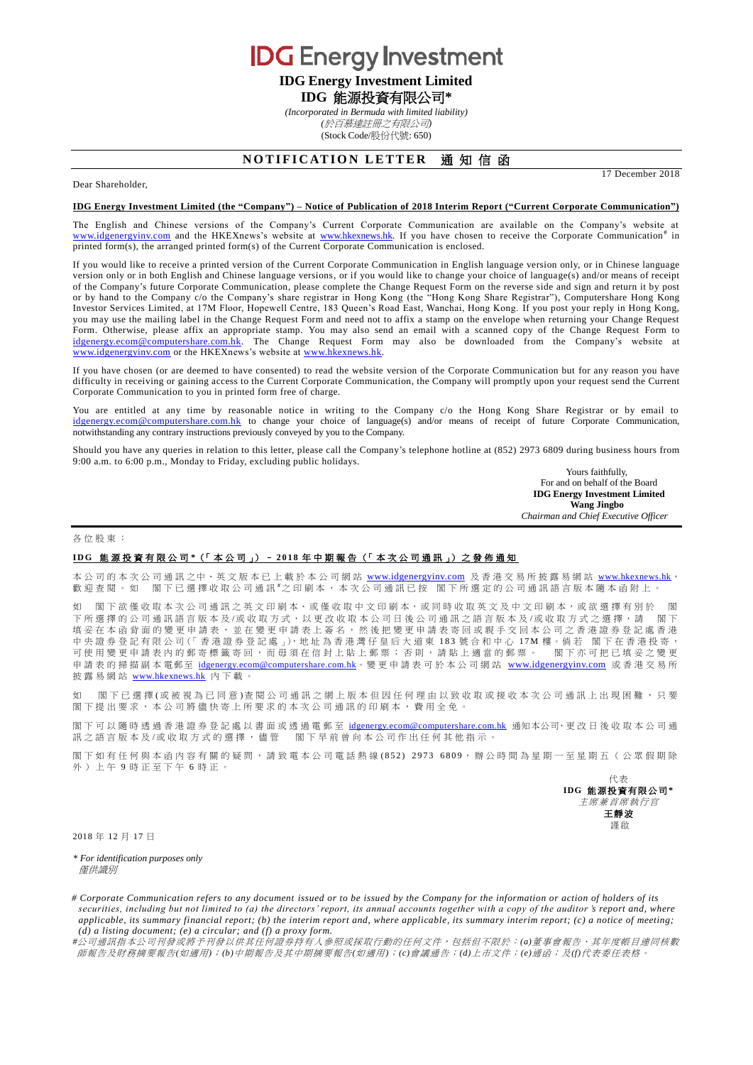**IDG** Energy Investment **IDG Energy Investment Limited**

# **IDG** 能源投資有限公司**\***

*(Incorporated in Bermuda with limited liability)*

*(*於百慕達註冊之有限公司*)*

(Stock Code/股份代號: 650)

# **NOTIFICATION LETTER 通知信函**

Dear Shareholder,

## **IDG Energy Investment Limited (the "Company") – Notice of Publication of 2018 Interim Report ("Current Corporate Communication")**

The English and Chinese versions of the Company's Current Corporate Communication are available on the Company's website at [www.idgenergyinv.com](http://www.idgenergyinv.com/) and the HKEXnews's website at [www.hkexnews.hk.](http://www.hkexnews.hk/) If you have chosen to receive the Corporate Communication<sup>#</sup> in printed form(s), the arranged printed form(s) of the Current Corporate Communication is enclosed.

If you would like to receive a printed version of the Current Corporate Communication in English language version only, or in Chinese language version only or in both English and Chinese language versions, or if you would like to change your choice of language(s) and/or means of receipt of the Company's future Corporate Communication, please complete the Change Request Form on the reverse side and sign and return it by post or by hand to the Company c/o the Company's share registrar in Hong Kong (the "Hong Kong Share Registrar"), Computershare Hong Kong Investor Services Limited, at 17M Floor, Hopewell Centre, 183 Queen's Road East, Wanchai, Hong Kong. If you post your reply in Hong Kong, you may use the mailing label in the Change Request Form and need not to affix a stamp on the envelope when returning your Change Request Form. Otherwise, please affix an appropriate stamp. You may also send an email with a scanned copy of the Change Request Form to [idgenergy.ecom@computershare.com.hk.](mailto:idgenergy.ecom@computershare.com.hk) The Change Request Form may also be downloaded from the Company's website at [www.idgenergyinv.com](http://www.idgenergyinv.com/) or the HKEXnews's website at [www.hkexnews.hk.](http://www.hkexnews.hk/)

If you have chosen (or are deemed to have consented) to read the website version of the Corporate Communication but for any reason you have difficulty in receiving or gaining access to the Current Corporate Communication, the Company will promptly upon your request send the Current Corporate Communication to you in printed form free of charge.

You are entitled at any time by reasonable notice in writing to the Company c/o the Hong Kong Share Registrar or by email to [idgenergy.ecom@computershare.com.hk](mailto:idgenergy.ecom@computershare.com.hk) to change your choice of language(s) and/or means of receipt of future Corporate Communication, notwithstanding any contrary instructions previously conveyed by you to the Company.

Should you have any queries in relation to this letter, please call the Company's telephone hotline at (852) 2973 6809 during business hours from 9:00 a.m. to 6:00 p.m., Monday to Friday, excluding public holidays.

Yours faithfully, For and on behalf of the Board **IDG Energy Investment Limited Wang Jingbo** *Chairman and Chief Executive Officer*

17 December 2018

### 各位股東 :

#### **I D G** 能源投資有限公司 **\***(「 本 公 司 」) – **2 0 1 8** 年中期 報 告 (「 本次公司通訊 」) 之 發 佈 通 知

本公司的本次公司通訊之中、英文版本已上載於本公司網站 [www.idgenergyinv.com](http://www.idgenergyinv.com/) 及香港交易所披露易網站 [www.hkexnews.hk](http://www.hkexnews.hk/), 歡 迎 查 閱 。 如 閣下已選擇收取公司通訊 #之印刷本, 本次公司通訊已按 閣下所選定的公司通訊語 言版本隨本函附上 。

閣下欲僅收取本次公司通訊之英文印刷本、或僅收取中文印刷本,或同時收取英文及中文印刷本,或欲選擇有別於 下所選擇的公司通訊語言版本及/或收取方式,以更改收取本公司日後公司通訊之語言版本及/或收取方式之選擇,請 閣下 填 妥 在 本 函 背 面 的 變 更 申 請 表 , 並 在 變 更 申 請 表 上 簽 名 , 然 後 把 變 更 申 請 表 寄 回 或 親 手 交 回 本 公 司 之 香 港 證 券 登 記 處 香 港 中央證券登記有限公司(「香港證券登記處」),地址為香港灣仔皇后大道東 183號合和中心 17M 樓。倘若 閣下在香港投寄, 可使用變更申請表內的郵寄標籤寄回,而毋須在信封上貼上郵票;否則,請貼上適當的郵票。 閣下亦可把已填妥之變更 申請表 的 掃 描 副 本 電郵至 [idgenergy.ecom@computershare.com.hk](mailto:idgenergy.ecom@computershare.com.hk)。 變 更 申 請 表 可 於 本 公 司 網 站 [www.idgenergyinv.com](http://www.idgenergyinv.com/) 或 香 港 交 易 所 披露易網站 [www.hkexnews.hk](http://www.hkexnews.hk/) 內 下載。

閣下已 選 擇(或 被 視 為 已 同 意) 查 閱 公 司 通 訊 之 網 上 版 本 但 因 任 何 理 由 以 致 收 取 或 接 收 本 次 公 司 通 訊 上 出 現 困 難 , 只 要 閣 下 提出要求, 本公司將儘 快寄上所要求的 本次公司通訊 的印刷本,費用全免。

閣下可以隨時透過香港證券登記處以書面或透過電郵至 [idgenergy.ecom@computershare.com.hk](mailto:idgenergy.ecom@computershare.com.hk) 通知本公司,更改日後收取本公司通 訊之語言版本及/或收取方式的選擇,儘管 閣下早前曾向本公司作出任何其他指示。

閣下如有任何與本函內容有關的疑問,請致電本公司電話熱線(852) 2973 6809,辦公時間為星期一至星期五(公眾假期除 外)上午 9 時正至下午 6 時正。

> 代表 **IDG** 能源投資有限公司 **\*** 主席兼首席執行官 王靜波 謹啟

2018 年 12 月 17 日

*\* For identification purposes only* **催**供諦别

*# Corporate Communication refers to any document issued or to be issued by the Company for the information or action of holders of its securities, including but not limited to (a) the directors' report, its annual accounts together with a copy of the auditor 's report and, where applicable, its summary financial report; (b) the interim report and, where applicable, its summary interim report; (c) a notice of meeting; (d) a listing document; (e) a circular; and (f) a proxy form.*

*#*公司通訊指本公司刊發或將予刊發以供其任何證券持有人參照或採取行動的任何文件,包括但不限於:*(a)*董事會報告、其年度帳目連同核數 師報告及財務摘要報告*(*如適用*)*;*(b)*中期報告及其中期摘要報告*(*如適用*)*;*(c)*會議通告;*(d)*上市文件;*(e)*通函;及*(f)*代表委任表格。